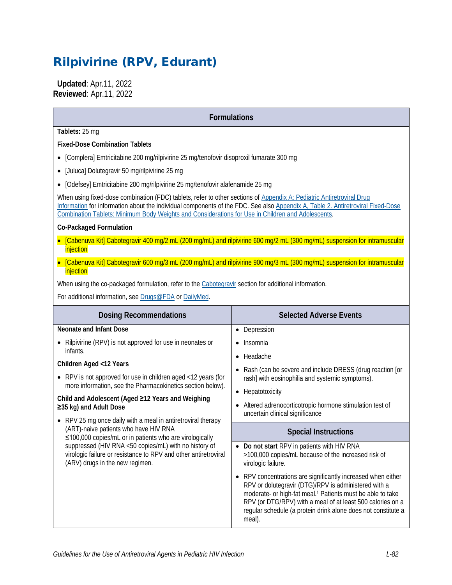# Rilpivirine (RPV, Edurant)

 **Updated**: Apr.11, 2022 **Reviewed**: Apr.11, 2022

#### **Formulations**

**Tablets:** 25 mg

**Fixed-Dose Combination Tablets**

- [Complera] Emtricitabine 200 mg/rilpivirine 25 mg/tenofovir disoproxil fumarate 300 mg
- [Juluca] Dolutegravir 50 mg/rilpivirine 25 mg
- [Odefsey] Emtricitabine 200 mg/rilpivirine 25 mg/tenofovir alafenamide 25 mg

When using fixed-dose combination (FDC) tablets, refer to other sections of [Appendix A: Pediatric Antiretroviral Drug](https://clinicalinfo.hiv.gov/en/guidelines/pediatric-arv/overview-0)  [Information](https://clinicalinfo.hiv.gov/en/guidelines/pediatric-arv/overview-0) for information about the individual components of the FDC. See also [Appendix A, Table 2. Antiretroviral Fixed-Dose](https://clinicalinfo.hiv.gov/en/guidelines/pediatric-arv/appendix-table-2-antiretroviral-fixed-dose-combination-tablets-minimum)  [Combination Tablets: Minimum Body Weights and Considerations for Use in Children and Adolescents.](https://clinicalinfo.hiv.gov/en/guidelines/pediatric-arv/appendix-table-2-antiretroviral-fixed-dose-combination-tablets-minimum) 

#### **Co-Packaged Formulation**

- [Cabenuva Kit] Cabotegravir 400 mg/2 mL (200 mg/mL) and rilpivirine 600 mg/2 mL (300 mg/mL) suspension for intramuscular injection
- [Cabenuva Kit] Cabotegravir 600 mg/3 mL (200 mg/mL) and rilpivirine 900 mg/3 mL (300 mg/mL) suspension for intramuscular injection

When using the co-packaged formulation, refer to the [Cabotegravir](https://clinicalinfo.hiv.gov/en/guidelines/pediatric-arv/cabotegravir) section for additional information.

For additional information, see **[Drugs@FDA](https://www.accessdata.fda.gov/scripts/cder/daf/)** or [DailyMed.](https://dailymed.nlm.nih.gov/dailymed/)

| <b>Dosing Recommendations</b>                                                                                                                                                                                                                               | <b>Selected Adverse Events</b>                                                                                                                                                                                                                                                                                                                     |  |  |  |
|-------------------------------------------------------------------------------------------------------------------------------------------------------------------------------------------------------------------------------------------------------------|----------------------------------------------------------------------------------------------------------------------------------------------------------------------------------------------------------------------------------------------------------------------------------------------------------------------------------------------------|--|--|--|
| Neonate and Infant Dose                                                                                                                                                                                                                                     | Depression<br>$\bullet$                                                                                                                                                                                                                                                                                                                            |  |  |  |
| Rilpivirine (RPV) is not approved for use in neonates or<br>infants.                                                                                                                                                                                        | Insomnia<br>$\bullet$<br>Headache<br>$\bullet$<br>Rash (can be severe and include DRESS (drug reaction [or<br>$\bullet$<br>rash] with eosinophilia and systemic symptoms).<br>Hepatotoxicity<br>$\bullet$<br>Altered adrenocorticotropic hormone stimulation test of<br>uncertain clinical significance                                            |  |  |  |
| Children Aged <12 Years                                                                                                                                                                                                                                     |                                                                                                                                                                                                                                                                                                                                                    |  |  |  |
| • RPV is not approved for use in children aged <12 years (for<br>more information, see the Pharmacokinetics section below).                                                                                                                                 |                                                                                                                                                                                                                                                                                                                                                    |  |  |  |
|                                                                                                                                                                                                                                                             |                                                                                                                                                                                                                                                                                                                                                    |  |  |  |
| Child and Adolescent (Aged ≥12 Years and Weighing<br>$\geq$ 35 kg) and Adult Dose<br>• RPV 25 mg once daily with a meal in antiretroviral therapy<br>(ART)-naive patients who have HIV RNA<br>$\leq$ 100,000 copies/mL or in patients who are virologically |                                                                                                                                                                                                                                                                                                                                                    |  |  |  |
|                                                                                                                                                                                                                                                             | <b>Special Instructions</b>                                                                                                                                                                                                                                                                                                                        |  |  |  |
| suppressed (HIV RNA <50 copies/mL) with no history of<br>virologic failure or resistance to RPV and other antiretroviral<br>(ARV) drugs in the new regimen.                                                                                                 | • Do not start RPV in patients with HIV RNA<br>>100,000 copies/mL because of the increased risk of<br>virologic failure.                                                                                                                                                                                                                           |  |  |  |
|                                                                                                                                                                                                                                                             | RPV concentrations are significantly increased when either<br>$\bullet$<br>RPV or dolutegravir (DTG)/RPV is administered with a<br>moderate- or high-fat meal. <sup>1</sup> Patients must be able to take<br>RPV (or DTG/RPV) with a meal of at least 500 calories on a<br>regular schedule (a protein drink alone does not constitute a<br>meal). |  |  |  |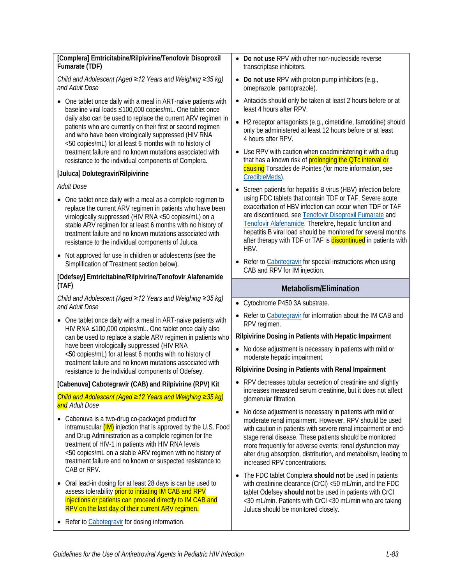| • Do not use RPV with other non-nucleoside reverse<br>transcriptase inhibitors.                                                                                                                                                                                                                                                                                                    |  |  |  |
|------------------------------------------------------------------------------------------------------------------------------------------------------------------------------------------------------------------------------------------------------------------------------------------------------------------------------------------------------------------------------------|--|--|--|
| Do not use RPV with proton pump inhibitors (e.g.,<br>$\bullet$<br>omeprazole, pantoprazole).                                                                                                                                                                                                                                                                                       |  |  |  |
| Antacids should only be taken at least 2 hours before or at<br>$\bullet$<br>least 4 hours after RPV.                                                                                                                                                                                                                                                                               |  |  |  |
| H2 receptor antagonists (e.g., cimetidine, famotidine) should<br>only be administered at least 12 hours before or at least<br>4 hours after RPV.                                                                                                                                                                                                                                   |  |  |  |
| Use RPV with caution when coadministering it with a drug<br>that has a known risk of prolonging the QTc interval or<br>causing Torsades de Pointes (for more information, see                                                                                                                                                                                                      |  |  |  |
| CredibleMeds).                                                                                                                                                                                                                                                                                                                                                                     |  |  |  |
| Screen patients for hepatitis B virus (HBV) infection before                                                                                                                                                                                                                                                                                                                       |  |  |  |
| using FDC tablets that contain TDF or TAF. Severe acute<br>exacerbation of HBV infection can occur when TDF or TAF<br>are discontinued, see Tenofovir Disoproxil Fumarate and<br>Tenofovir Alafenamide. Therefore, hepatic function and<br>hepatitis B viral load should be monitored for several months<br>after therapy with TDF or TAF is discontinued in patients with<br>HBV. |  |  |  |
| Refer to Cabotegravir for special instructions when using<br>CAB and RPV for IM injection.                                                                                                                                                                                                                                                                                         |  |  |  |
|                                                                                                                                                                                                                                                                                                                                                                                    |  |  |  |
| Metabolism/Elimination                                                                                                                                                                                                                                                                                                                                                             |  |  |  |
| • Cytochrome P450 3A substrate.                                                                                                                                                                                                                                                                                                                                                    |  |  |  |
|                                                                                                                                                                                                                                                                                                                                                                                    |  |  |  |
| Refer to Cabotegravir for information about the IM CAB and<br>RPV regimen.                                                                                                                                                                                                                                                                                                         |  |  |  |
| Rilpivirine Dosing in Patients with Hepatic Impairment                                                                                                                                                                                                                                                                                                                             |  |  |  |
| • No dose adjustment is necessary in patients with mild or<br>moderate hepatic impairment.                                                                                                                                                                                                                                                                                         |  |  |  |
| Rilpivirine Dosing in Patients with Renal Impairment                                                                                                                                                                                                                                                                                                                               |  |  |  |
| • RPV decreases tubular secretion of creatinine and slightly<br>increases measured serum creatinine, but it does not affect<br>glomerular filtration.                                                                                                                                                                                                                              |  |  |  |
|                                                                                                                                                                                                                                                                                                                                                                                    |  |  |  |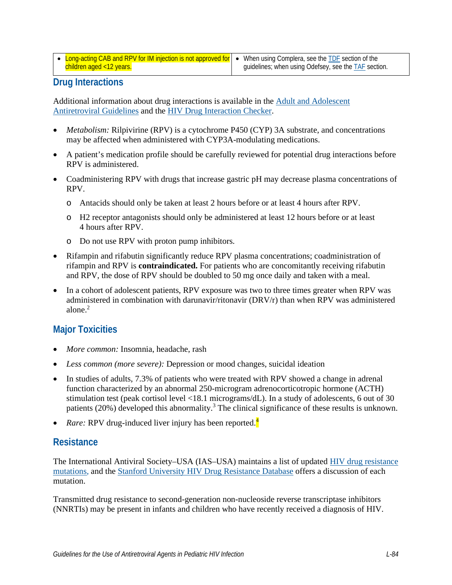• Long-acting CAB and RPV for IM injection is not approved for children aged <12 years.

# **Drug Interactions**

Additional information about drug interactions is available in the [Adult and Adolescent](https://clinicalinfo.hiv.gov/en/guidelines/adult-and-adolescent-arv/whats-new-guidelines)  [Antiretroviral Guidelines](https://clinicalinfo.hiv.gov/en/guidelines/adult-and-adolescent-arv/whats-new-guidelines) and the [HIV Drug Interaction Checker.](http://www.hiv-druginteractions.org/)

- *Metabolism:* Rilpivirine (RPV) is a cytochrome P450 (CYP) 3A substrate, and concentrations may be affected when administered with CYP3A-modulating medications.
- A patient's medication profile should be carefully reviewed for potential drug interactions before RPV is administered.
- Coadministering RPV with drugs that increase gastric pH may decrease plasma concentrations of RPV.
	- o Antacids should only be taken at least 2 hours before or at least 4 hours after RPV.
	- o H2 receptor antagonists should only be administered at least 12 hours before or at least 4 hours after RPV.
	- o Do not use RPV with proton pump inhibitors.
- Rifampin and rifabutin significantly reduce RPV plasma concentrations; coadministration of rifampin and RPV is **contraindicated.** For patients who are concomitantly receiving rifabutin and RPV, the dose of RPV should be doubled to 50 mg once daily and taken with a meal.
- In a cohort of adolescent patients, RPV exposure was two to three times greater when RPV was administered in combination with darunavir/ritonavir (DRV/r) than when RPV was administered alone.<sup>2</sup>

# **Major Toxicities**

- *More common:* Insomnia, headache, rash
- *Less common (more severe):* Depression or mood changes, suicidal ideation
- In studies of adults, 7.3% of patients who were treated with RPV showed a change in adrenal function characterized by an abnormal 250-microgram adrenocorticotropic hormone (ACTH) stimulation test (peak cortisol level <18.1 micrograms/dL). In a study of adolescents, 6 out of 30 patients (20%) developed this abnormality.<sup>[3](#page-7-2)</sup> The clinical significance of these results is unknown.
- *Rare:* RPV drug-induced liver injury has been reported.<sup>[4](#page-7-3)</sup>

#### **Resistance**

The International Antiviral Society–USA (IAS–USA) maintains a list of updated [HIV drug resistance](https://www.iasusa.org/resources/hiv-drug-resistance-mutations/)  [mutations,](https://www.iasusa.org/resources/hiv-drug-resistance-mutations/) and the [Stanford University HIV Drug Resistance Database](http://hivdb.stanford.edu/DR/) offers a discussion of each mutation.

Transmitted drug resistance to second-generation non-nucleoside reverse transcriptase inhibitors (NNRTIs) may be present in infants and children who have recently received a diagnosis of HIV.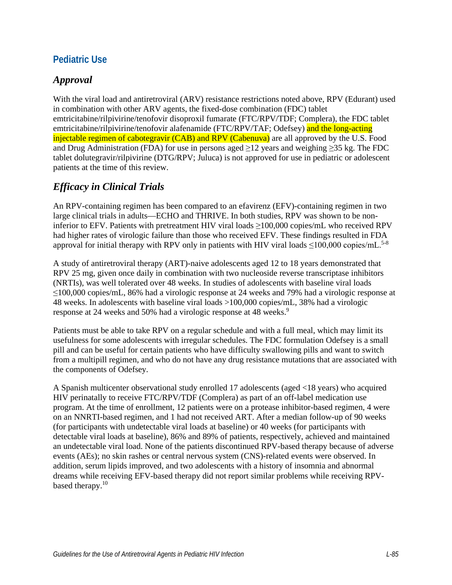#### **Pediatric Use**

#### *Approval*

With the viral load and antiretroviral (ARV) resistance restrictions noted above, RPV (Edurant) used in combination with other ARV agents, the fixed-dose combination (FDC) tablet emtricitabine/rilpivirine/tenofovir disoproxil fumarate (FTC/RPV/TDF; Complera), the FDC tablet emtricitabine/rilpivirine/tenofovir alafenamide (FTC/RPV/TAF; Odefsey) and the long-acting injectable regimen of cabotegravir (CAB) and RPV (Cabenuva) are all approved by the U.S. Food and Drug Administration (FDA) for use in persons aged  $\geq$ 12 years and weighing  $\geq$ 35 kg. The FDC tablet dolutegravir/rilpivirine (DTG/RPV; Juluca) is not approved for use in pediatric or adolescent patients at the time of this review.

# *Efficacy in Clinical Trials*

An RPV-containing regimen has been compared to an efavirenz (EFV)-containing regimen in two large clinical trials in adults—ECHO and THRIVE. In both studies, RPV was shown to be noninferior to EFV. Patients with pretreatment HIV viral loads ≥100,000 copies/mL who received RPV had higher rates of virologic failure than those who received EFV. These findings resulted in FDA approval for initial therapy with RPV only in patients with HIV viral loads  $\leq$ 100,000 copies/mL.<sup>[5-8](#page-7-4)</sup>

A study of antiretroviral therapy (ART)-naive adolescents aged 12 to 18 years demonstrated that RPV 25 mg, given once daily in combination with two nucleoside reverse transcriptase inhibitors (NRTIs), was well tolerated over 48 weeks. In studies of adolescents with baseline viral loads ≤100,000 copies/mL, 86% had a virologic response at 24 weeks and 79% had a virologic response at 48 weeks. In adolescents with baseline viral loads >100,000 copies/mL, 38% had a virologic response at 24 weeks and 50% had a virologic response at 48 weeks.<sup>9</sup>

Patients must be able to take RPV on a regular schedule and with a full meal, which may limit its usefulness for some adolescents with irregular schedules. The FDC formulation Odefsey is a small pill and can be useful for certain patients who have difficulty swallowing pills and want to switch from a multipill regimen, and who do not have any drug resistance mutations that are associated with the components of Odefsey.

A Spanish multicenter observational study enrolled 17 adolescents (aged <18 years) who acquired HIV perinatally to receive FTC/RPV/TDF (Complera) as part of an off-label medication use program. At the time of enrollment, 12 patients were on a protease inhibitor-based regimen, 4 were on an NNRTI-based regimen, and 1 had not received ART. After a median follow-up of 90 weeks (for participants with undetectable viral loads at baseline) or 40 weeks (for participants with detectable viral loads at baseline), 86% and 89% of patients, respectively, achieved and maintained an undetectable viral load. None of the patients discontinued RPV-based therapy because of adverse events (AEs); no skin rashes or central nervous system (CNS)-related events were observed. In addition, serum lipids improved, and two adolescents with a history of insomnia and abnormal dreams while receiving EFV-based therapy did not report similar problems while receiving RPVbased therapy.<sup>10</sup>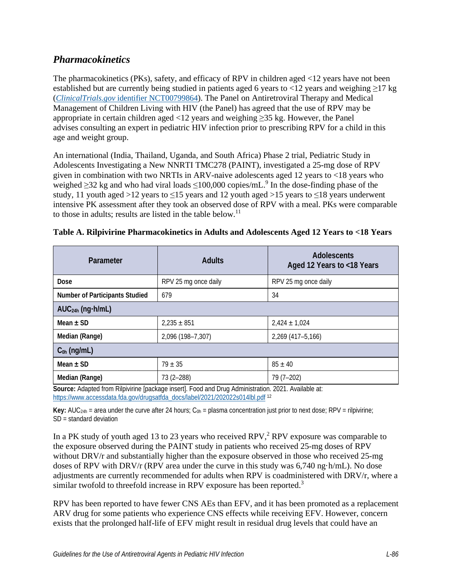#### *Pharmacokinetics*

The pharmacokinetics (PKs), safety, and efficacy of RPV in children aged <12 years have not been established but are currently being studied in patients aged 6 years to <12 years and weighing  $\geq$ 17 kg (*ClinicalTrials.gov* [identifier NCT00799864\)](https://clinicaltrials.gov/ct2/show/NCT00799864?term=NCT00799864). The Panel on Antiretroviral Therapy and Medical Management of Children Living with HIV (the Panel) has agreed that the use of RPV may be appropriate in certain children aged <12 years and weighing ≥35 kg. However, the Panel advises consulting an expert in pediatric HIV infection prior to prescribing RPV for a child in this age and weight group.

An international (India, Thailand, Uganda, and South Africa) Phase 2 trial, Pediatric Study in Adolescents Investigating a New NNRTI TMC278 (PAINT), investigated a 25-mg dose of RPV given in combination with two NRTIs in ARV-naive adolescents aged 12 years to <18 years who weighed  $\geq$ 32 kg and who had viral loads  $\leq$ 100,000 copies/mL.<sup>9</sup> In the dose-finding phase of the study, 11 youth aged >12 years to  $\leq$ 15 years and 12 youth aged >15 years to  $\leq$ 18 years underwent intensive PK assessment after they took an observed dose of RPV with a meal. PKs were comparable to those in adults; results are listed in the table below.<sup>[11](#page-8-0)</sup>

| Parameter                             | <b>Adults</b>                                                                                                     | <b>Adolescents</b><br>Aged 12 Years to <18 Years |  |  |  |  |
|---------------------------------------|-------------------------------------------------------------------------------------------------------------------|--------------------------------------------------|--|--|--|--|
| Dose                                  | RPV 25 mg once daily                                                                                              | RPV 25 mg once daily                             |  |  |  |  |
| <b>Number of Participants Studied</b> | 679                                                                                                               | 34                                               |  |  |  |  |
| $AUC24h$ (ng $\cdot$ h/mL)            |                                                                                                                   |                                                  |  |  |  |  |
| Mean $\pm$ SD                         | $2,235 \pm 851$                                                                                                   | $2,424 \pm 1,024$                                |  |  |  |  |
| Median (Range)                        | 2,096 (198-7,307)                                                                                                 | 2,269 (417-5,166)                                |  |  |  |  |
| $C_{0h}$ (ng/mL)                      |                                                                                                                   |                                                  |  |  |  |  |
| Mean $\pm$ SD<br>$79 \pm 35$          |                                                                                                                   | $85 \pm 40$                                      |  |  |  |  |
| Median (Range)                        | $73(2 - 288)$<br>Connect Advanced Connective Local Connection of Excellent Danis Advanced and COOA. Another Local | 79 (7-202)                                       |  |  |  |  |

| Table A. Rilpivirine Pharmacokinetics in Adults and Adolescents Aged 12 Years to <18 Years |  |  |  |  |
|--------------------------------------------------------------------------------------------|--|--|--|--|
|                                                                                            |  |  |  |  |
|                                                                                            |  |  |  |  |

**Source:** Adapted from Rilpivirine [package insert]. Food and Drug Administration. 2021. Available at: [https://www.accessdata.fda.gov/drugsatfda\\_docs/label/2021/202022s014lbl.pdf](https://www.accessdata.fda.gov/drugsatfda_docs/label/2021/202022s014lbl.pdf) [12](#page-8-1)

**Key:** AUC<sub>24h</sub> = area under the curve after 24 hours;  $C_{0h}$  = plasma concentration just prior to next dose; RPV = rilpivirine;  $SD = standard deviation$ 

In a PK study of youth aged 13 to [2](#page-7-1)3 years who received RPV, $<sup>2</sup>$  RPV exposure was comparable to</sup> the exposure observed during the PAINT study in patients who received 25-mg doses of RPV without DRV/r and substantially higher than the exposure observed in those who received 25-mg doses of RPV with DRV/r (RPV area under the curve in this study was 6,740 ng·h/mL). No dose adjustments are currently recommended for adults when RPV is coadministered with DRV/r, where a similar twofold to threefold increase in RPV exposure has been reported[.](#page-7-2)<sup>3</sup>

RPV has been reported to have fewer CNS AEs than EFV, and it has been promoted as a replacement ARV drug for some patients who experience CNS effects while receiving EFV. However, concern exists that the prolonged half-life of EFV might result in residual drug levels that could have an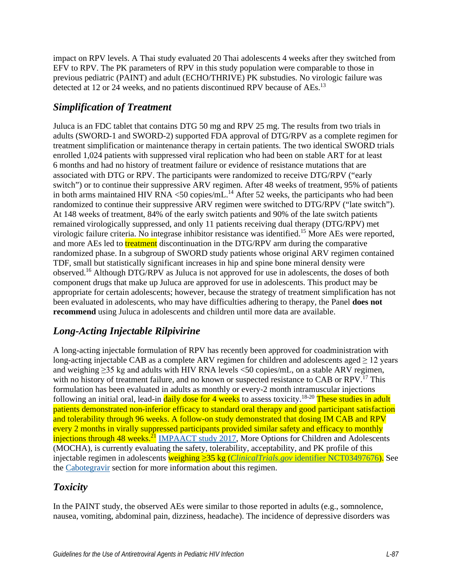impact on RPV levels. A Thai study evaluated 20 Thai adolescents 4 weeks after they switched from EFV to RPV. The PK parameters of RPV in this study population were comparable to those in previous pediatric (PAINT) and adult (ECHO/THRIVE) PK substudies. No virologic failure was detected at 12 or 24 weeks, and no patients discontinued RPV because of AEs.<sup>13</sup>

# *Simplification of Treatment*

Juluca is an FDC tablet that contains DTG 50 mg and RPV 25 mg. The results from two trials in adults (SWORD-1 and SWORD-2) supported FDA approval of DTG/RPV as a complete regimen for treatment simplification or maintenance therapy in certain patients. The two identical SWORD trials enrolled 1,024 patients with suppressed viral replication who had been on stable ART for at least 6 months and had no history of treatment failure or evidence of resistance mutations that are associated with DTG or RPV. The participants were randomized to receive DTG/RPV ("early switch") or to continue their suppressive ARV regimen. After 48 weeks of treatment, 95% of patients in both arms maintained HIV RNA <50 copies/mL $^{14}$  After 52 weeks, the participants who had been randomized to continue their suppressive ARV regimen were switched to DTG/RPV ("late switch"). At 148 weeks of treatment, 84% of the early switch patients and 90% of the late switch patients remained virologically suppressed, and only 11 patients receiving dual therapy (DTG/RPV) met virologic failure criteria. No integrase inhibitor resistance was identified[.15](#page-8-4) More AEs were reported, and more AEs led to **treatment** discontinuation in the DTG/RPV arm during the comparative randomized phase. In a subgroup of SWORD study patients whose original ARV regimen contained TDF, small but statistically significant increases in hip and spine bone mineral density were observed[.16](#page-8-5) Although DTG/RPV as Juluca is not approved for use in adolescents, the doses of both component drugs that make up Juluca are approved for use in adolescents. This product may be appropriate for certain adolescents; however, because the strategy of treatment simplification has not been evaluated in adolescents, who may have difficulties adhering to therapy, the Panel **does not recommend** using Juluca in adolescents and children until more data are available.

# *Long-Acting Injectable Rilpivirine*

A long-acting injectable formulation of RPV has recently been approved for coadministration with long-acting injectable CAB as a complete ARV regimen for children and adolescents aged ≥ 12 years and weighing ≥35 kg and adults with HIV RNA levels <50 copies/mL, on a stable ARV regimen, with no history of treatment failure, and no known or suspected resistance to CAB or RPV.<sup>[17](#page-8-6)</sup> This formulation has been evaluated in adults as monthly or every-2 month intramuscular injections following an initial oral, lead-in daily dose for 4 weeks to assess toxicity.<sup>18-20</sup> These studies in adult patients demonstrated non-inferior efficacy to standard oral therapy and good participant satisfaction and tolerability through 96 weeks. A follow-on study demonstrated that dosing IM CAB and RPV every 2 months in virally suppressed participants provided similar safety and efficacy to monthly injections through 48 weeks.<sup>[21](#page-9-0)</sup> [IMPAACT study 2017,](https://clinicaltrials.gov/ct2/show/NCT03497676?term=IMPAACT+2017&draw=2&rank=1) More Options for Children and Adolescents (MOCHA), is currently evaluating the safety, tolerability, acceptability, and PK profile of this injectable regimen in adolescents weighing ≥35 kg (*ClinicalTrials.gov* [identifier NCT03497676\)](https://clinicaltrials.gov/ct2/show/NCT03497676). See the [Cabotegravir](https://clinicalinfo.hiv.gov/en/guidelines/pediatric-arv/cabotegravir) section for more information about this regimen.

#### *Toxicity*

In the PAINT study, the observed AEs were similar to those reported in adults (e.g., somnolence, nausea, vomiting, abdominal pain, dizziness, headache). The incidence of depressive disorders was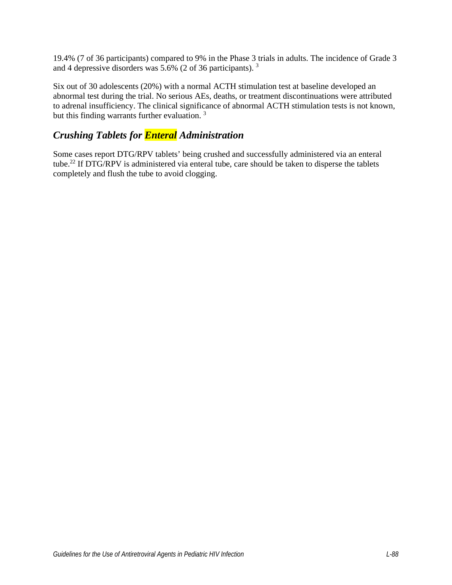19.4% (7 of 36 participants) compared to 9% in the Phase 3 trials in adults. The incidence of Grade 3 and 4 depressive disorders was 5.6% (2 of 36 participants). [3](#page-7-2)

Six out of 30 adolescents (20%) with a normal ACTH stimulation test at baseline developed an abnormal test during the trial. No serious AEs, deaths, or treatment discontinuations were attributed to adrenal insufficiency. The clinical significance of abnormal ACTH stimulation tests is not known, but this finding warrants further evaluation.<sup>[3](#page-7-2)</sup>

# *Crushing Tablets for Enteral Administration*

Some cases report DTG/RPV tablets' being crushed and successfully administered via an enteral tube.<sup>22</sup> If DTG/RPV is administered via enteral tube, care should be taken to disperse the tablets completely and flush the tube to avoid clogging.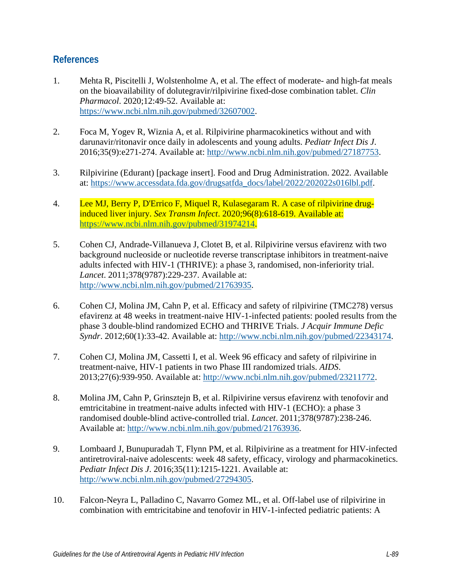#### **References**

- <span id="page-7-0"></span>1. Mehta R, Piscitelli J, Wolstenholme A, et al. The effect of moderate- and high-fat meals on the bioavailability of dolutegravir/rilpivirine fixed-dose combination tablet. *Clin Pharmacol*. 2020;12:49-52. Available at: [https://www.ncbi.nlm.nih.gov/pubmed/32607002.](https://www.ncbi.nlm.nih.gov/pubmed/32607002)
- <span id="page-7-1"></span>2. Foca M, Yogev R, Wiznia A, et al. Rilpivirine pharmacokinetics without and with darunavir/ritonavir once daily in adolescents and young adults. *Pediatr Infect Dis J*. 2016;35(9):e271-274. Available at: [http://www.ncbi.nlm.nih.gov/pubmed/27187753.](http://www.ncbi.nlm.nih.gov/pubmed/27187753)
- <span id="page-7-2"></span>3. Rilpivirine (Edurant) [package insert]. Food and Drug Administration. 2022. Available at: [https://www.accessdata.fda.gov/drugsatfda\\_docs/label/2022/202022s016lbl.pdf.](https://www.accessdata.fda.gov/drugsatfda_docs/label/2022/202022s016lbl.pdf)
- <span id="page-7-3"></span>4. Lee MJ, Berry P, D'Errico F, Miquel R, Kulasegaram R. A case of rilpivirine druginduced liver injury. *Sex Transm Infect*. 2020;96(8):618-619. Available at: [https://www.ncbi.nlm.nih.gov/pubmed/31974214.](https://www.ncbi.nlm.nih.gov/pubmed/31974214)
- <span id="page-7-4"></span>5. Cohen CJ, Andrade-Villanueva J, Clotet B, et al. Rilpivirine versus efavirenz with two background nucleoside or nucleotide reverse transcriptase inhibitors in treatment-naive adults infected with HIV-1 (THRIVE): a phase 3, randomised, non-inferiority trial. *Lancet*. 2011;378(9787):229-237. Available at: [http://www.ncbi.nlm.nih.gov/pubmed/21763935.](http://www.ncbi.nlm.nih.gov/pubmed/21763935)
- 6. Cohen CJ, Molina JM, Cahn P, et al. Efficacy and safety of rilpivirine (TMC278) versus efavirenz at 48 weeks in treatment-naive HIV-1-infected patients: pooled results from the phase 3 double-blind randomized ECHO and THRIVE Trials. *J Acquir Immune Defic Syndr*. 2012;60(1):33-42. Available at: [http://www.ncbi.nlm.nih.gov/pubmed/22343174.](http://www.ncbi.nlm.nih.gov/pubmed/22343174)
- 7. Cohen CJ, Molina JM, Cassetti I, et al. Week 96 efficacy and safety of rilpivirine in treatment-naive, HIV-1 patients in two Phase III randomized trials. *AIDS*. 2013;27(6):939-950. Available at: [http://www.ncbi.nlm.nih.gov/pubmed/23211772.](http://www.ncbi.nlm.nih.gov/pubmed/23211772)
- 8. Molina JM, Cahn P, Grinsztejn B, et al. Rilpivirine versus efavirenz with tenofovir and emtricitabine in treatment-naive adults infected with HIV-1 (ECHO): a phase 3 randomised double-blind active-controlled trial. *Lancet*. 2011;378(9787):238-246. Available at: [http://www.ncbi.nlm.nih.gov/pubmed/21763936.](http://www.ncbi.nlm.nih.gov/pubmed/21763936)
- <span id="page-7-5"></span>9. Lombaard J, Bunupuradah T, Flynn PM, et al. Rilpivirine as a treatment for HIV-infected antiretroviral-naive adolescents: week 48 safety, efficacy, virology and pharmacokinetics. *Pediatr Infect Dis J*. 2016;35(11):1215-1221. Available at: [http://www.ncbi.nlm.nih.gov/pubmed/27294305.](http://www.ncbi.nlm.nih.gov/pubmed/27294305)
- <span id="page-7-6"></span>10. Falcon-Neyra L, Palladino C, Navarro Gomez ML, et al. Off-label use of rilpivirine in combination with emtricitabine and tenofovir in HIV-1-infected pediatric patients: A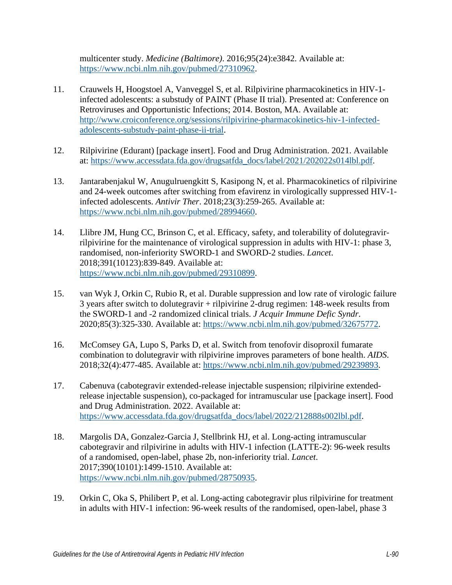multicenter study. *Medicine (Baltimore)*. 2016;95(24):e3842. Available at: [https://www.ncbi.nlm.nih.gov/pubmed/27310962.](https://www.ncbi.nlm.nih.gov/pubmed/27310962)

- <span id="page-8-0"></span>11. Crauwels H, Hoogstoel A, Vanveggel S, et al. Rilpivirine pharmacokinetics in HIV-1 infected adolescents: a substudy of PAINT (Phase II trial). Presented at: Conference on Retroviruses and Opportunistic Infections; 2014. Boston, MA. Available at: [http://www.croiconference.org/sessions/rilpivirine-pharmacokinetics-hiv-1-infected](http://www.croiconference.org/sessions/rilpivirine-pharmacokinetics-hiv-1-infected-adolescents-substudy-paint-phase-ii-trial)[adolescents-substudy-paint-phase-ii-trial.](http://www.croiconference.org/sessions/rilpivirine-pharmacokinetics-hiv-1-infected-adolescents-substudy-paint-phase-ii-trial)
- <span id="page-8-1"></span>12. Rilpivirine (Edurant) [package insert]. Food and Drug Administration. 2021. Available at: [https://www.accessdata.fda.gov/drugsatfda\\_docs/label/2021/202022s014lbl.pdf.](https://www.accessdata.fda.gov/drugsatfda_docs/label/2021/202022s014lbl.pdf)
- <span id="page-8-2"></span>13. Jantarabenjakul W, Anugulruengkitt S, Kasipong N, et al. Pharmacokinetics of rilpivirine and 24-week outcomes after switching from efavirenz in virologically suppressed HIV-1 infected adolescents. *Antivir Ther*. 2018;23(3):259-265. Available at: [https://www.ncbi.nlm.nih.gov/pubmed/28994660.](https://www.ncbi.nlm.nih.gov/pubmed/28994660)
- <span id="page-8-3"></span>14. Llibre JM, Hung CC, Brinson C, et al. Efficacy, safety, and tolerability of dolutegravirrilpivirine for the maintenance of virological suppression in adults with HIV-1: phase 3, randomised, non-inferiority SWORD-1 and SWORD-2 studies. *Lancet*. 2018;391(10123):839-849. Available at: [https://www.ncbi.nlm.nih.gov/pubmed/29310899.](https://www.ncbi.nlm.nih.gov/pubmed/29310899)
- <span id="page-8-4"></span>15. van Wyk J, Orkin C, Rubio R, et al. Durable suppression and low rate of virologic failure 3 years after switch to dolutegravir + rilpivirine 2-drug regimen: 148-week results from the SWORD-1 and -2 randomized clinical trials. *J Acquir Immune Defic Syndr*. 2020;85(3):325-330. Available at: [https://www.ncbi.nlm.nih.gov/pubmed/32675772.](https://www.ncbi.nlm.nih.gov/pubmed/32675772)
- <span id="page-8-5"></span>16. McComsey GA, Lupo S, Parks D, et al. Switch from tenofovir disoproxil fumarate combination to dolutegravir with rilpivirine improves parameters of bone health. *AIDS*. 2018;32(4):477-485. Available at: [https://www.ncbi.nlm.nih.gov/pubmed/29239893.](https://www.ncbi.nlm.nih.gov/pubmed/29239893)
- <span id="page-8-6"></span>17. Cabenuva (cabotegravir extended-release injectable suspension; rilpivirine extendedrelease injectable suspension), co-packaged for intramuscular use [package insert]. Food and Drug Administration. 2022. Available at: [https://www.accessdata.fda.gov/drugsatfda\\_docs/label/2022/212888s002lbl.pdf.](https://www.accessdata.fda.gov/drugsatfda_docs/label/2022/212888s002lbl.pdf)
- <span id="page-8-7"></span>18. Margolis DA, Gonzalez-Garcia J, Stellbrink HJ, et al. Long-acting intramuscular cabotegravir and rilpivirine in adults with HIV-1 infection (LATTE-2): 96-week results of a randomised, open-label, phase 2b, non-inferiority trial. *Lancet*. 2017;390(10101):1499-1510. Available at: [https://www.ncbi.nlm.nih.gov/pubmed/28750935.](https://www.ncbi.nlm.nih.gov/pubmed/28750935)
- 19. Orkin C, Oka S, Philibert P, et al. Long-acting cabotegravir plus rilpivirine for treatment in adults with HIV-1 infection: 96-week results of the randomised, open-label, phase 3